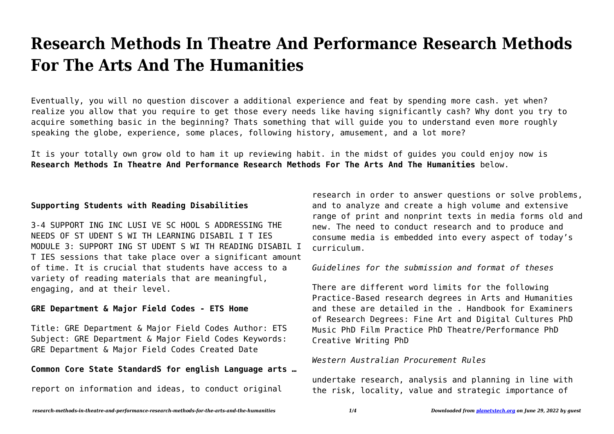# **Research Methods In Theatre And Performance Research Methods For The Arts And The Humanities**

Eventually, you will no question discover a additional experience and feat by spending more cash. yet when? realize you allow that you require to get those every needs like having significantly cash? Why dont you try to acquire something basic in the beginning? Thats something that will guide you to understand even more roughly speaking the globe, experience, some places, following history, amusement, and a lot more?

It is your totally own grow old to ham it up reviewing habit. in the midst of guides you could enjoy now is **Research Methods In Theatre And Performance Research Methods For The Arts And The Humanities** below.

## **Supporting Students with Reading Disabilities**

3-4 SUPPORT ING INC LUSI VE SC HOOL S ADDRESSING THE NEEDS OF ST UDENT S WI TH LEARNING DISABIL I T IES MODULE 3: SUPPORT ING ST UDENT S WI TH READING DISABIL I T IES sessions that take place over a significant amount of time. It is crucial that students have access to a variety of reading materials that are meaningful, engaging, and at their level.

## **GRE Department & Major Field Codes - ETS Home**

Title: GRE Department & Major Field Codes Author: ETS Subject: GRE Department & Major Field Codes Keywords: GRE Department & Major Field Codes Created Date

## **Common Core State StandardS for english Language arts …**

report on information and ideas, to conduct original

research in order to answer questions or solve problems, and to analyze and create a high volume and extensive range of print and nonprint texts in media forms old and new. The need to conduct research and to produce and consume media is embedded into every aspect of today's curriculum.

#### *Guidelines for the submission and format of theses*

There are different word limits for the following Practice-Based research degrees in Arts and Humanities and these are detailed in the . Handbook for Examiners of Research Degrees: Fine Art and Digital Cultures PhD Music PhD Film Practice PhD Theatre/Performance PhD Creative Writing PhD

#### *Western Australian Procurement Rules*

undertake research, analysis and planning in line with the risk, locality, value and strategic importance of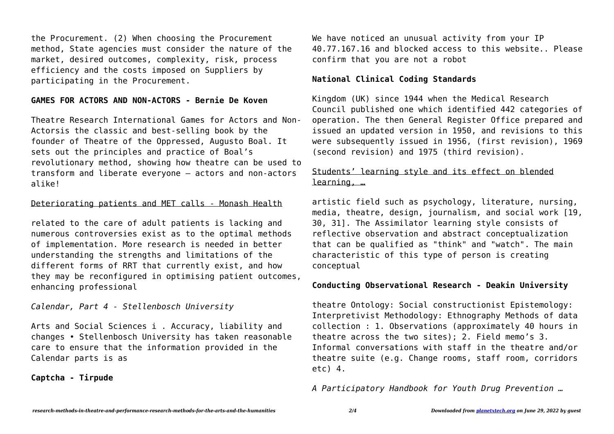the Procurement. (2) When choosing the Procurement method, State agencies must consider the nature of the market, desired outcomes, complexity, risk, process efficiency and the costs imposed on Suppliers by participating in the Procurement.

#### **GAMES FOR ACTORS AND NON-ACTORS - Bernie De Koven**

Theatre Research International Games for Actors and Non-Actorsis the classic and best-selling book by the founder of Theatre of the Oppressed, Augusto Boal. It sets out the principles and practice of Boal's revolutionary method, showing how theatre can be used to transform and liberate everyone – actors and non-actors alike!

#### Deteriorating patients and MET calls - Monash Health

related to the care of adult patients is lacking and numerous controversies exist as to the optimal methods of implementation. More research is needed in better understanding the strengths and limitations of the different forms of RRT that currently exist, and how they may be reconfigured in optimising patient outcomes, enhancing professional

*Calendar, Part 4 - Stellenbosch University*

Arts and Social Sciences i . Accuracy, liability and changes • Stellenbosch University has taken reasonable care to ensure that the information provided in the Calendar parts is as

#### **Captcha - Tirpude**

We have noticed an unusual activity from your IP 40.77.167.16 and blocked access to this website.. Please confirm that you are not a robot

#### **National Clinical Coding Standards**

Kingdom (UK) since 1944 when the Medical Research Council published one which identified 442 categories of operation. The then General Register Office prepared and issued an updated version in 1950, and revisions to this were subsequently issued in 1956, (first revision), 1969 (second revision) and 1975 (third revision).

# Students' learning style and its effect on blended learning, …

artistic field such as psychology, literature, nursing, media, theatre, design, journalism, and social work [19, 30, 31]. The Assimilator learning style consists of reflective observation and abstract conceptualization that can be qualified as "think" and "watch". The main characteristic of this type of person is creating conceptual

#### **Conducting Observational Research - Deakin University**

theatre Ontology: Social constructionist Epistemology: Interpretivist Methodology: Ethnography Methods of data collection : 1. Observations (approximately 40 hours in theatre across the two sites); 2. Field memo's 3. Informal conversations with staff in the theatre and/or theatre suite (e.g. Change rooms, staff room, corridors etc) 4.

*A Participatory Handbook for Youth Drug Prevention …*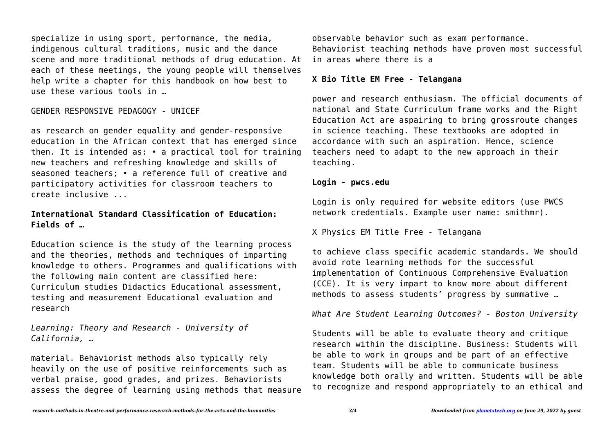specialize in using sport, performance, the media, indigenous cultural traditions, music and the dance scene and more traditional methods of drug education. At each of these meetings, the young people will themselves help write a chapter for this handbook on how best to use these various tools in …

## GENDER RESPONSIVE PEDAGOGY - UNICEF

as research on gender equality and gender-responsive education in the African context that has emerged since then. It is intended as: • a practical tool for training new teachers and refreshing knowledge and skills of seasoned teachers; • a reference full of creative and participatory activities for classroom teachers to create inclusive ...

## **International Standard Classification of Education: Fields of …**

Education science is the study of the learning process and the theories, methods and techniques of imparting knowledge to others. Programmes and qualifications with the following main content are classified here: Curriculum studies Didactics Educational assessment, testing and measurement Educational evaluation and research

*Learning: Theory and Research - University of California, …*

material. Behaviorist methods also typically rely heavily on the use of positive reinforcements such as verbal praise, good grades, and prizes. Behaviorists assess the degree of learning using methods that measure observable behavior such as exam performance. Behaviorist teaching methods have proven most successful in areas where there is a

## **X Bio Title EM Free - Telangana**

power and research enthusiasm. The official documents of national and State Curriculum frame works and the Right Education Act are aspairing to bring grossroute changes in science teaching. These textbooks are adopted in accordance with such an aspiration. Hence, science teachers need to adapt to the new approach in their teaching.

#### **Login - pwcs.edu**

Login is only required for website editors (use PWCS network credentials. Example user name: smithmr).

## X Physics EM Title Free - Telangana

to achieve class specific academic standards. We should avoid rote learning methods for the successful implementation of Continuous Comprehensive Evaluation (CCE). It is very impart to know more about different methods to assess students' progress by summative …

*What Are Student Learning Outcomes? - Boston University*

Students will be able to evaluate theory and critique research within the discipline. Business: Students will be able to work in groups and be part of an effective team. Students will be able to communicate business knowledge both orally and written. Students will be able to recognize and respond appropriately to an ethical and